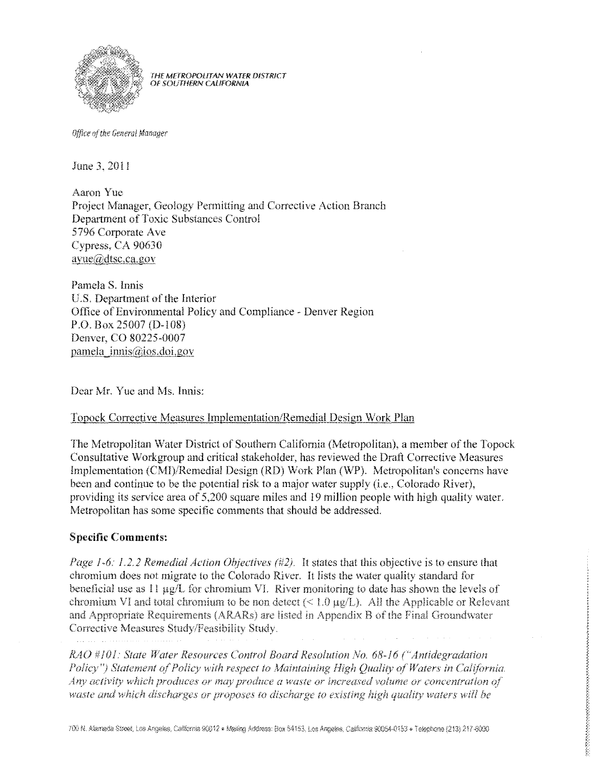

THE METROPOLITAN WATER DISTRICT OF SOUTHERN CALIFORNIA

Office of the General Manager

June 3, 2011

Aaron Yue Project Manager, Geology Permitting and Corrective Action Branch Department of Toxic Substances Control 5796 Corporate Ave Cypress, CA 90630 ayue@dtsc.ca.gov

Pamela S. Innis U.S. Department of the Interior Office of Environmental Policy and Compliance - Denver Region P.O. Box 25007 (D-108) Denver, CO 80225-0007 pamela  $\text{imis}(a)$ ios.doi.gov

Dear Mr. Yue and Ms. Innis:

## Topock Corrective Measures Implementation/Remedial Design Work Plan

The Metropolitan Water District of Southern California (Metropolitan), a member of the Topock Consultative Workgroup and critical stakeholder, has reviewed the Draft Corrective Measures Implementation (CMI)/Remedial Design (RD) Work Plan (WP). Metropolitan's concerns have been and continue to be the potential risk to a major water supply (i.e., Colorado River), providing its service area of 5,200 square miles and 19 million people with high quality water. Metropolitan has some specific comments that should be addressed.

## **Specific Comments:**

*Page 1-6: 1.2.2 Remedial Action Objectives (#2).* It states that this objective is to ensure that chromium does not migrate to the Colorado River. It lists the water quality standard for beneficial use as  $11 \mu g/L$  for chromium VI. River monitoring to date has shown the levels of chromium VI and total chromium to be non detect ( $\leq 1.0 \,\mu g/L$ ). All the Applicable or Relevant and Appropriate Requirements (ARARs) are listed in Appendix B of the Final Groundwater Corrective Measures Study/Feasibility Study.

RAO #101: State Water Resources Control Board Resolution No. 68-16 ("Antidegradation Policy") Statement of Policy with respect to Maintaining High Quality of Waters in California. Any activity which produces or may produce a waste or increased volume or concentration of waste and which discharges or proposes to discharge to existing high quality waters will be

とこととこととこととことということに、そんどことになることになることです。そんどうてんだいかいかいかいかいかい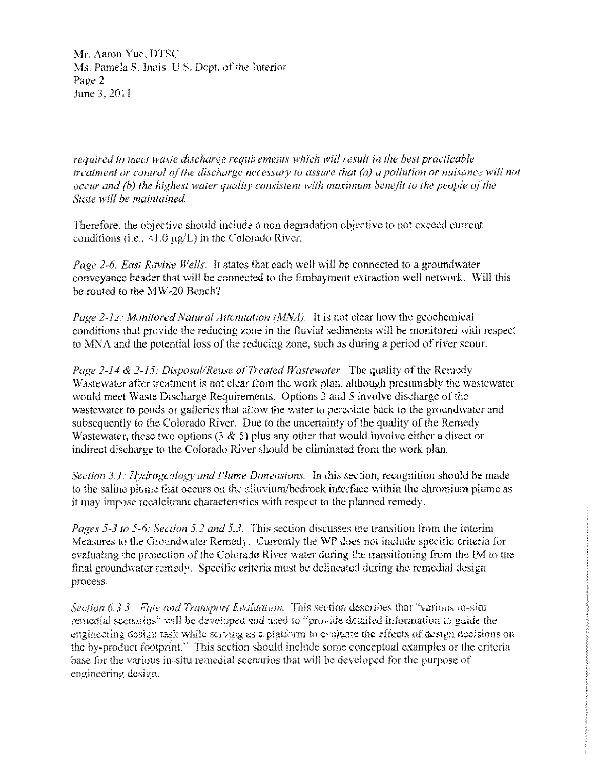Mr. Aaron Yue, DTSC Ms. Pamela S. Innis, U.S. Dept. of the Interior Page 2 June 3, 2011

*required to meet waste discharge requirements which will result in the best practicable treatment or control of the discharge necessary to assure that (a) a pollution or nuisance will not occur and (b) the highest water quality consistent with maximum benefit to the people of the Stale will be maintained* 

Therefore, the objective should include a non degradation objective to not exceed current conditions (i.e.,  $\leq 1.0 \,\mu$ g/L) in the Colorado River.

*Page* 2-6: *East Ravine Wells.* It states that each well will be connected to a groundwater conveyance header that will be connected to the Embayment extraction well network. Will this be routed to the MW-20 Bench?

*Page 2-12: Monitored Natural Attenuation (MNA).* It is not clear how the geochemical conditions that provide the reducing zone in the fluvial sediments will be monitored with respect to MNA and the potential loss of the reducing zone, such as during a period of river scour.

*Page 2-14 & 2-15: Disposal/Reuse of Treated Wastewater.* The quality of the Remedy Wastewater after treatment is not clear from the work plan, although presumably the wastewater would meet Waste Discharge Requirements. Options 3 and 5 involve discharge of the wastewater to ponds or galleries that allow the water to percolate back to the groundwater and subsequently to the Colorado River. Due to the uncertainty of the quality of the Remedy Wastewater, these two options  $(3 \& 5)$  plus any other that would involve either a direct or indirect discharge to the Colorado River should be eliminated from the work plan.

*Section 3.1: Hydrogeology and Plume Dimensions.* In this section, recognition should be made to the saline plume that occurs on the alluvium/bedrock interface within the chromium plume as it may impose recalcitrant characteristics with respect to the planned remedy.

*Pages* 5-3 *10* 5-6: *Section* 5.2 *and* 5.3. This seclion discusses the transition from the Interim Measures to the Groundwater Remedy. Currently the WP does not include specific criteria for evaluating the protection of the Colorado River water during the transitioning from the 1M to the final groundwater remedy. Specific criteria must be delineated during the remedial design process.

Section 6.3.3: Fate and Transport Evaluation. This section describes that "various in-situ remedial scenarios" will be developed and used to "provide detailed information to guide the engineering design task while serving as a platform to evaluate the effects of design decisions on the by-product footprint" This section should include some conceptual examples or the criteria base tor the various in-situ remedial scenarios that will be developed for the purpose of engineering design.

ことろうどうどう

医阿斯巴斯 中国的中国的

 $\mathcal{L}_{\rm{eff}}$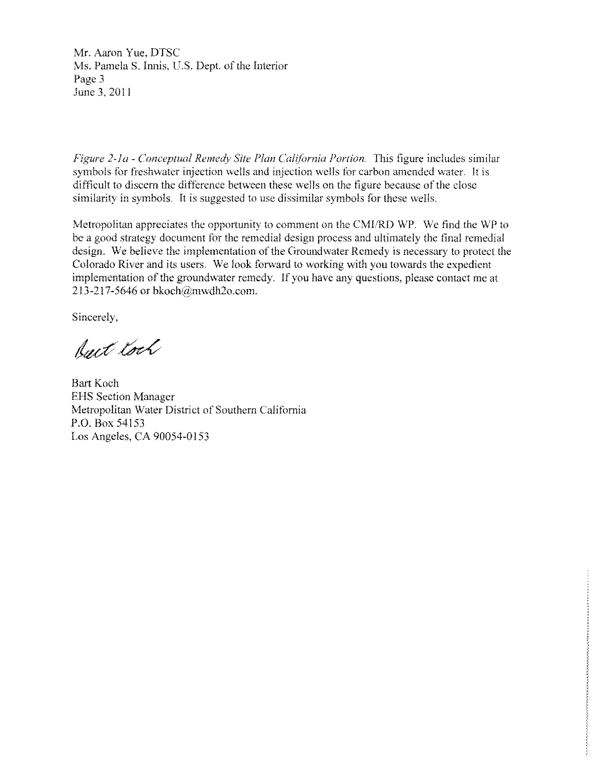Mr. Aaron Yue, DTSC Ms. Pamela S. Innis, U.S. Dept. of the Interior Page 3 June 3, 2011

*Figure 2-1a* - *Conceptual Remedy Site Plan California Portion.* This figure includes similar symbols for freshwater injection wells and injection wells for carbon amended water. It is difficult to discern the difference between these wells on the figure because of the close similarity in symbols. It is suggested to use dissimilar symbols for these wells.

Metropolitan appreciates the opportunity to comment on the CMI/RD WP. We find the WP to be a good strategy document for the remedial design process and ultimately the final remedial design, We believe the implementation of the Groundwater Remedy is necessary to protect the Colorado River and its users. We look forward to working with you towards the expedient implementation of the groundwater remedy. If you have any questions, please contact me at 213-217-5646 or bkoch@mwdh20.com.

Sincerely,

Ract toch

Bart Koch EHS Section Manager Metropolitan Water District of Southern California P.O. Box 54153 Los Angeles, CA 90054-0153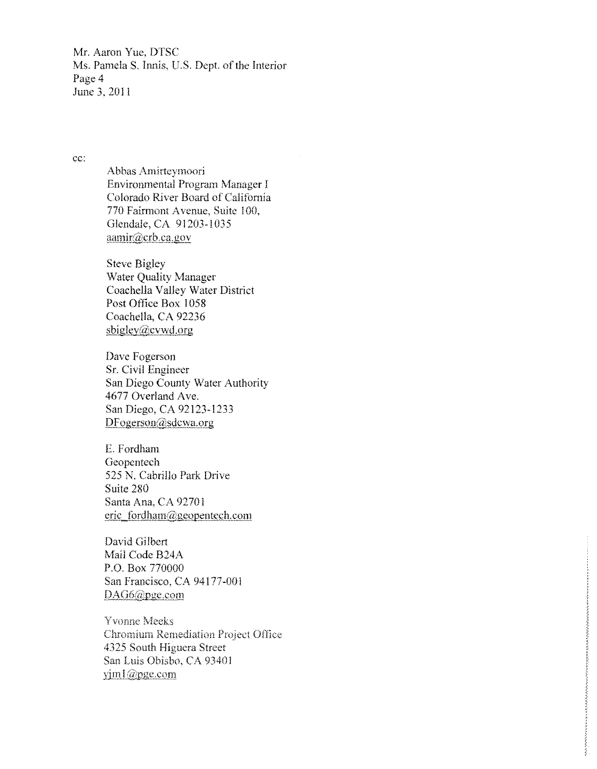Mr. Aaron Yue, DTSC Ms. Pamela S. Innis, U.S. Dept. of the Interior Page 4 June 3. 20J!

ee:

Abbas Amirteymoori Environmental Program Manager I Colorado River Board of California 770 Fairmont Avenue, Suite 100, Glendale, CA 91203-1035 aamir@crb.ca.gov

Steve Bigley Water Quality Manager Coachella Valley Water District Post Office Box 1058 Coachella. CA 92236  $sbigley@cvwd.org$ 

Dave Fogerson Sr. Civil Engineer San Diego County Water Authority 4677 Overland Ave. San Diego, CA 92123-1233 DFogerson@sdcwa.org

E. Fordham Geopentech 525 N. Cabrillo Park Drive Suite 280 Santa Ana. CA 92701 eric fordham@geopentech.com

David Gilbert Mail Code B24A P.O. Box 770000 San Francisco, CA 94177-001 DAG6@pge.com

**Yvonne Meeks** Chromium Remediation Project Office 4325 South Higuera Street San Luis Obisbo, CA 93401 yiml@pgc.com

**Registre**